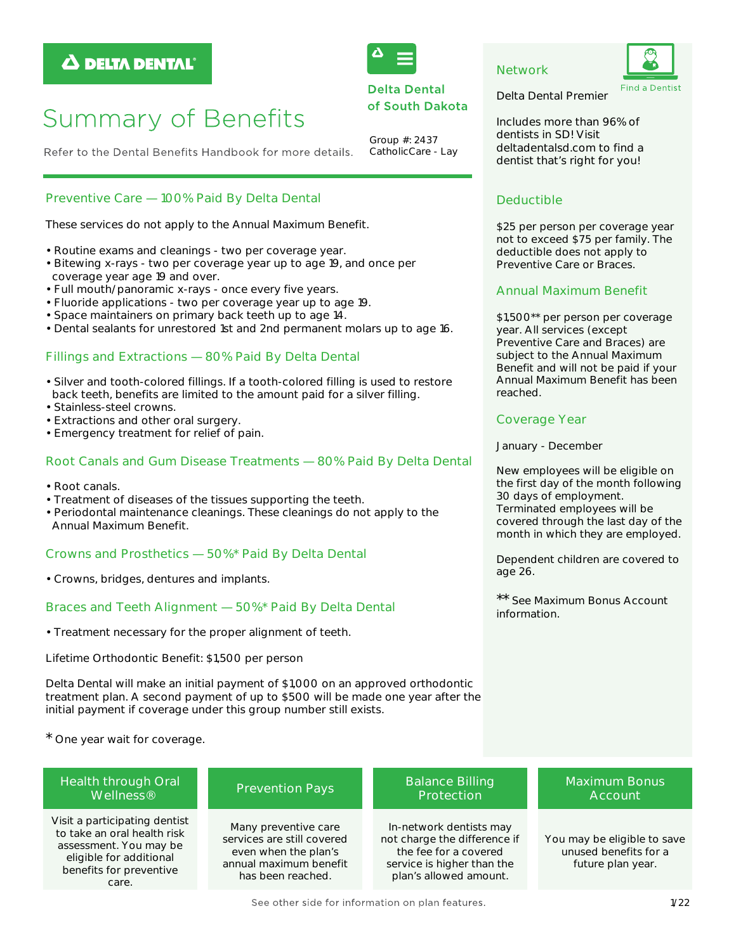# **A DELTA DENTAL**



**Delta Dental** of South Dakota

Group #: 2437

CatholicCare - Lay



Delta Dental Premier

Includes more than 96% of dentists in SD! Visit deltadentalsd.com to find a dentist that's right for you!

# **Deductible**

**Network** 

\$25 per person per coverage year not to exceed \$75 per family. The deductible does not apply to Preventive Care or Braces.

# **Annual Maximum Benefit**

\$1,500\*\* per person per coverage year. All services (except Preventive Care and Braces) are subject to the Annual Maximum Benefit and will not be paid if your Annual Maximum Benefit has been reached.

# **Coverage Year**

January - December

New employees will be eligible on the first day of the month following 30 days of employment. Terminated employees will be covered through the last day of the month in which they are employed.

Dependent children are covered to age 26.

\*\* See Maximum Bonus Account information

# **Summary of Benefits**

Refer to the Dental Benefits Handbook for more details.

# Preventive Care - 100% Paid By Delta Dental

These services do not apply to the Annual Maximum Benefit.

- · Routine exams and cleanings two per coverage year.
- · Bitewing x-rays two per coverage year up to age 19, and once per coverage year age 19 and over.
- · Full mouth/panoramic x-rays once every five years.
- · Fluoride applications two per coverage year up to age 19.
- · Space maintainers on primary back teeth up to age 14.
- . Dental sealants for unrestored 1st and 2nd permanent molars up to age 16.

# Fillings and Extractions - 80% Paid By Delta Dental

- · Silver and tooth-colored fillings. If a tooth-colored filling is used to restore back teeth, benefits are limited to the amount paid for a silver filling.
- · Stainless-steel crowns.
- Extractions and other oral surgery.
- Emergency treatment for relief of pain.

# Root Canals and Gum Disease Treatments - 80% Paid By Delta Dental

- Root canals.
- Treatment of diseases of the tissues supporting the teeth.
- Periodontal maintenance cleanings. These cleanings do not apply to the Annual Maximum Benefit.

# Crowns and Prosthetics - 50%\* Paid By Delta Dental

• Crowns, bridges, dentures and implants.

# Braces and Teeth Alignment - 50%\* Paid By Delta Dental

• Treatment necessary for the proper alignment of teeth.

Lifetime Orthodontic Benefit: \$1,500 per person

Delta Dental will make an initial payment of \$1,000 on an approved orthodontic treatment plan. A second payment of up to \$500 will be made one year after the initial payment if coverage under this group number still exists.

\* One year wait for coverage.

| Health through Oral                                                                                                                                   | <b>Prevention Pays</b>                                                                                                    | <b>Balance Billing</b>                                                                                                                   | <b>Maximum Bonus</b>                                                      |
|-------------------------------------------------------------------------------------------------------------------------------------------------------|---------------------------------------------------------------------------------------------------------------------------|------------------------------------------------------------------------------------------------------------------------------------------|---------------------------------------------------------------------------|
| Wellness <sup>®</sup>                                                                                                                                 |                                                                                                                           | Protection                                                                                                                               | Account                                                                   |
| Visit a participating dentist<br>to take an oral health risk<br>assessment. You may be<br>eligible for additional<br>benefits for preventive<br>care. | Many preventive care<br>services are still covered<br>even when the plan's<br>annual maximum benefit<br>has been reached. | In-network dentists may<br>not charge the difference if<br>the fee for a covered<br>service is higher than the<br>plan's allowed amount. | You may be eligible to save<br>unused benefits for a<br>future plan year. |